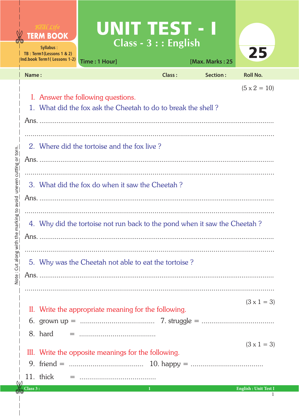|                                                                                           |                                                                                                                            | <b>TERM BOOK</b><br><b>Syllabus:</b><br>TB: Term1(Lessons 1 & 2)<br><b>Ind.book Term1(Lessons 1-2)</b> | UNIT TEST - I<br>Time: 1 Hour]                                             | $Class - 3 :: English$ | [Max. Marks: 25 | 25                                      |  |  |
|-------------------------------------------------------------------------------------------|----------------------------------------------------------------------------------------------------------------------------|--------------------------------------------------------------------------------------------------------|----------------------------------------------------------------------------|------------------------|-----------------|-----------------------------------------|--|--|
|                                                                                           | Name:                                                                                                                      |                                                                                                        |                                                                            | <b>Class:</b>          | Section:        | <b>Roll No.</b>                         |  |  |
| uneven cutting or torn.<br>marking to avoid<br>$\mathbbmss{D}$<br>Note: Cut along with th | $(5 \times 2 = 10)$<br>I. Answer the following questions.<br>1. What did the fox ask the Cheetah to do to break the shell? |                                                                                                        |                                                                            |                        |                 |                                         |  |  |
|                                                                                           |                                                                                                                            |                                                                                                        | 2. Where did the tortoise and the fox live?                                |                        |                 |                                         |  |  |
|                                                                                           |                                                                                                                            |                                                                                                        | 3. What did the fox do when it saw the Cheetah?                            |                        |                 |                                         |  |  |
|                                                                                           |                                                                                                                            |                                                                                                        | 4. Why did the tortoise not run back to the pond when it saw the Cheetah?  |                        |                 |                                         |  |  |
|                                                                                           |                                                                                                                            |                                                                                                        | 5. Why was the Cheetah not able to eat the tortoise?                       |                        |                 |                                         |  |  |
|                                                                                           |                                                                                                                            |                                                                                                        | II. Write the appropriate meaning for the following.                       |                        |                 | $(3 \times 1 = 3)$                      |  |  |
|                                                                                           |                                                                                                                            | 8. hard                                                                                                | III. Write the opposite meanings for the following.                        |                        |                 | $(3 \times 1 = 3)$                      |  |  |
|                                                                                           | $\textcolor{blue}{\textbf{2}}$ and $\textcolor{blue}{\textbf{3}}$ .                                                        | 11. thick                                                                                              | the control of the control of the control of the control of the control of |                        |                 | <b>Example 1</b> Fractish . Unit Test I |  |  |

Ė  $\frac{4}{3}$  $\frac{1}{2}$